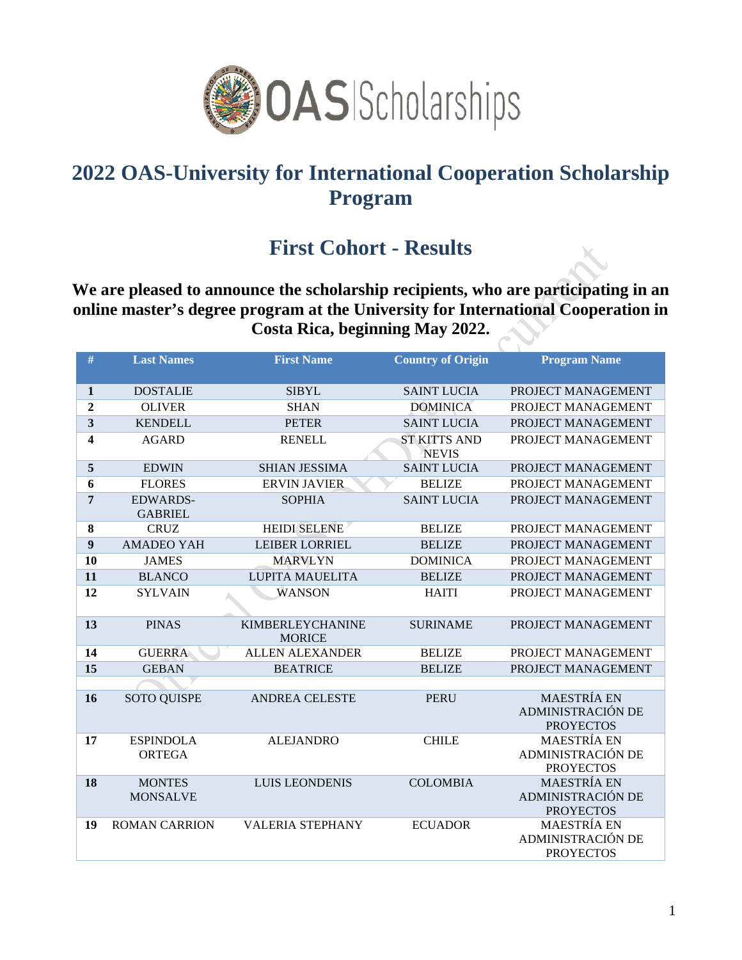

## **2022 OAS-University for International Cooperation Scholarship Program**

## **First Cohort - Results**

**We are pleased to announce the scholarship recipients, who are participating in an online master's degree program at the University for International Cooperation in Costa Rica, beginning May 2022.** 

| $\#$                    | <b>Last Names</b>                 | <b>First Name</b>                        | <b>Country of Origin</b>            | <b>Program Name</b>                                                |
|-------------------------|-----------------------------------|------------------------------------------|-------------------------------------|--------------------------------------------------------------------|
| 1                       | <b>DOSTALIE</b>                   | <b>SIBYL</b>                             | <b>SAINT LUCIA</b>                  | PROJECT MANAGEMENT                                                 |
| $\boldsymbol{2}$        | <b>OLIVER</b>                     | <b>SHAN</b>                              | <b>DOMINICA</b>                     | PROJECT MANAGEMENT                                                 |
| $\overline{\mathbf{3}}$ | <b>KENDELL</b>                    | <b>PETER</b>                             | <b>SAINT LUCIA</b>                  | PROJECT MANAGEMENT                                                 |
| 4                       | <b>AGARD</b>                      | <b>RENELL</b>                            | <b>ST KITTS AND</b><br><b>NEVIS</b> | PROJECT MANAGEMENT                                                 |
| 5                       | <b>EDWIN</b>                      | <b>SHIAN JESSIMA</b>                     | <b>SAINT LUCIA</b>                  | PROJECT MANAGEMENT                                                 |
| 6                       | <b>FLORES</b>                     | <b>ERVIN JAVIER</b>                      | <b>BELIZE</b>                       | PROJECT MANAGEMENT                                                 |
| $\overline{7}$          | <b>EDWARDS-</b><br><b>GABRIEL</b> | <b>SOPHIA</b>                            | <b>SAINT LUCIA</b>                  | PROJECT MANAGEMENT                                                 |
| 8                       | <b>CRUZ</b>                       | <b>HEIDI SELENE</b>                      | <b>BELIZE</b>                       | PROJECT MANAGEMENT                                                 |
| $\boldsymbol{9}$        | <b>AMADEO YAH</b>                 | <b>LEIBER LORRIEL</b>                    | <b>BELIZE</b>                       | PROJECT MANAGEMENT                                                 |
| 10                      | <b>JAMES</b>                      | <b>MARVLYN</b>                           | <b>DOMINICA</b>                     | PROJECT MANAGEMENT                                                 |
| 11                      | <b>BLANCO</b>                     | <b>LUPITA MAUELITA</b>                   | <b>BELIZE</b>                       | PROJECT MANAGEMENT                                                 |
| 12                      | <b>SYLVAIN</b>                    | <b>WANSON</b>                            | <b>HAITI</b>                        | PROJECT MANAGEMENT                                                 |
| 13                      | <b>PINAS</b>                      | <b>KIMBERLEYCHANINE</b><br><b>MORICE</b> | <b>SURINAME</b>                     | PROJECT MANAGEMENT                                                 |
| 14                      | <b>GUERRA</b>                     | <b>ALLEN ALEXANDER</b>                   | <b>BELIZE</b>                       | PROJECT MANAGEMENT                                                 |
| 15                      | <b>GEBAN</b>                      | <b>BEATRICE</b>                          | <b>BELIZE</b>                       | PROJECT MANAGEMENT                                                 |
|                         |                                   |                                          |                                     |                                                                    |
| 16                      | <b>SOTO QUISPE</b>                | <b>ANDREA CELESTE</b>                    | <b>PERU</b>                         | <b>MAESTRÍA EN</b><br>ADMINISTRACIÓN DE<br><b>PROYECTOS</b>        |
| 17                      | <b>ESPINDOLA</b><br>ORTEGA        | <b>ALEJANDRO</b>                         | <b>CHILE</b>                        | <b>MAESTRÍA EN</b><br>ADMINISTRACIÓN DE<br><b>PROYECTOS</b>        |
| 18                      | <b>MONTES</b><br><b>MONSALVE</b>  | <b>LUIS LEONDENIS</b>                    | <b>COLOMBIA</b>                     | <b>MAESTRÍA EN</b><br><b>ADMINISTRACIÓN DE</b><br><b>PROYECTOS</b> |
| 19                      | <b>ROMAN CARRION</b>              | <b>VALERIA STEPHANY</b>                  | <b>ECUADOR</b>                      | <b>MAESTRÍA EN</b><br>ADMINISTRACIÓN DE<br><b>PROYECTOS</b>        |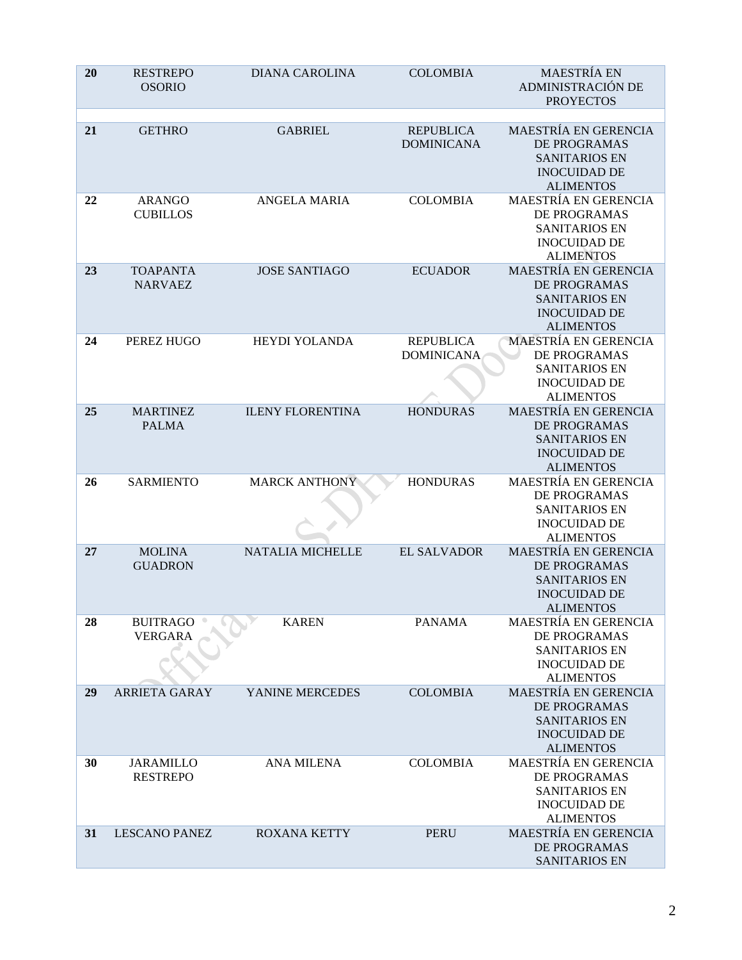| 20 | <b>RESTREPO</b><br><b>OSORIO</b>    | <b>DIANA CAROLINA</b>   | <b>COLOMBIA</b>                       | <b>MAESTRÍA EN</b><br>ADMINISTRACIÓN DE<br><b>PROYECTOS</b>                                                           |
|----|-------------------------------------|-------------------------|---------------------------------------|-----------------------------------------------------------------------------------------------------------------------|
| 21 | <b>GETHRO</b>                       | <b>GABRIEL</b>          | <b>REPUBLICA</b><br><b>DOMINICANA</b> | <b>MAESTRÍA EN GERENCIA</b><br>DE PROGRAMAS<br><b>SANITARIOS EN</b><br><b>INOCUIDAD DE</b><br><b>ALIMENTOS</b>        |
| 22 | <b>ARANGO</b><br><b>CUBILLOS</b>    | <b>ANGELA MARIA</b>     | <b>COLOMBIA</b>                       | <b>MAESTRÍA EN GERENCIA</b><br><b>DE PROGRAMAS</b><br><b>SANITARIOS EN</b><br><b>INOCUIDAD DE</b><br><b>ALIMENTOS</b> |
| 23 | <b>TOAPANTA</b><br><b>NARVAEZ</b>   | <b>JOSE SANTIAGO</b>    | <b>ECUADOR</b>                        | MAESTRÍA EN GERENCIA<br>DE PROGRAMAS<br><b>SANITARIOS EN</b><br><b>INOCUIDAD DE</b><br><b>ALIMENTOS</b>               |
| 24 | PEREZ HUGO                          | HEYDI YOLANDA           | <b>REPUBLICA</b><br><b>DOMINICANA</b> | <b>MAESTRÍA EN GERENCIA</b><br>DE PROGRAMAS<br><b>SANITARIOS EN</b><br><b>INOCUIDAD DE</b><br><b>ALIMENTOS</b>        |
| 25 | <b>MARTINEZ</b><br><b>PALMA</b>     | <b>ILENY FLORENTINA</b> | <b>HONDURAS</b>                       | <b>MAESTRÍA EN GERENCIA</b><br>DE PROGRAMAS<br><b>SANITARIOS EN</b><br><b>INOCUIDAD DE</b><br><b>ALIMENTOS</b>        |
| 26 | <b>SARMIENTO</b>                    | <b>MARCK ANTHONY</b>    | <b>HONDURAS</b>                       | MAESTRÍA EN GERENCIA<br>DE PROGRAMAS<br><b>SANITARIOS EN</b><br><b>INOCUIDAD DE</b><br><b>ALIMENTOS</b>               |
| 27 | <b>MOLINA</b><br><b>GUADRON</b>     | <b>NATALIA MICHELLE</b> | <b>EL SALVADOR</b>                    | MAESTRÍA EN GERENCIA<br>DE PROGRAMAS<br><b>SANITARIOS EN</b><br><b>INOCUIDAD DE</b><br><b>ALIMENTOS</b>               |
| 28 | <b>BUITRAGO</b><br><b>VERGARA</b>   | <b>KAREN</b>            | <b>PANAMA</b>                         | <b>MAESTRÍA EN GERENCIA</b><br>DE PROGRAMAS<br><b>SANITARIOS EN</b><br><b>INOCUIDAD DE</b><br><b>ALIMENTOS</b>        |
| 29 | <b>ARRIETA GARAY</b>                | YANINE MERCEDES         | <b>COLOMBIA</b>                       | MAESTRÍA EN GERENCIA<br>DE PROGRAMAS<br><b>SANITARIOS EN</b><br><b>INOCUIDAD DE</b><br><b>ALIMENTOS</b>               |
| 30 | <b>JARAMILLO</b><br><b>RESTREPO</b> | <b>ANA MILENA</b>       | <b>COLOMBIA</b>                       | MAESTRÍA EN GERENCIA<br>DE PROGRAMAS<br><b>SANITARIOS EN</b><br><b>INOCUIDAD DE</b><br><b>ALIMENTOS</b>               |
| 31 | <b>LESCANO PANEZ</b>                | <b>ROXANA KETTY</b>     | <b>PERU</b>                           | MAESTRÍA EN GERENCIA<br>DE PROGRAMAS<br><b>SANITARIOS EN</b>                                                          |